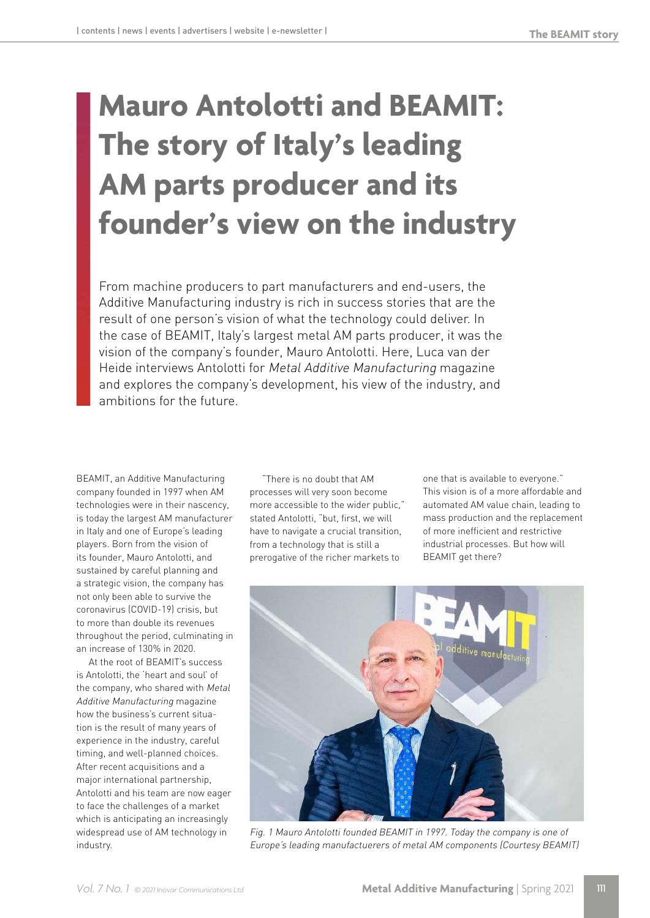# **Mauro Antolotti and BEAMIT: The story of Italy's leading AM parts producer and its founder's view on the industry**

From machine producers to part manufacturers and end-users, the Additive Manufacturing industry is rich in success stories that are the result of one person's vision of what the technology could deliver. In the case of BEAMIT, Italy's largest metal AM parts producer, it was the vision of the company's founder, Mauro Antolotti. Here, Luca van der Heide interviews Antolotti for Metal Additive Manufacturing magazine and explores the company's development, his view of the industry, and ambitions for the future.

BEAMIT, an Additive Manufacturing company founded in 1997 when AM technologies were in their nascency, is today the largest AM manufacturer in Italy and one of Europe's leading players. Born from the vision of its founder, Mauro Antolotti, and sustained by careful planning and a strategic vision, the company has not only been able to survive the coronavirus (COVID-19) crisis, but to more than double its revenues throughout the period, culminating in an increase of 130% in 2020.

At the root of BEAMIT's success is Antolotti, the 'heart and soul' of the company, who shared with Metal Additive Manufacturing magazine how the business's current situation is the result of many years of experience in the industry, careful timing, and well-planned choices. After recent acquisitions and a major international partnership, Antolotti and his team are now eager to face the challenges of a market which is anticipating an increasingly widespread use of AM technology in industry.

"There is no doubt that AM processes will very soon become more accessible to the wider public," stated Antolotti, "but, first, we will have to navigate a crucial transition, from a technology that is still a prerogative of the richer markets to

one that is available to everyone." This vision is of a more affordable and automated AM value chain, leading to mass production and the replacement of more inefficient and restrictive industrial processes. But how will BEAMIT get there?



Fig. 1 Mauro Antolotti founded BEAMIT in 1997. Today the company is one of Europe's leading manufactuerers of metal AM components (Courtesy BEAMIT)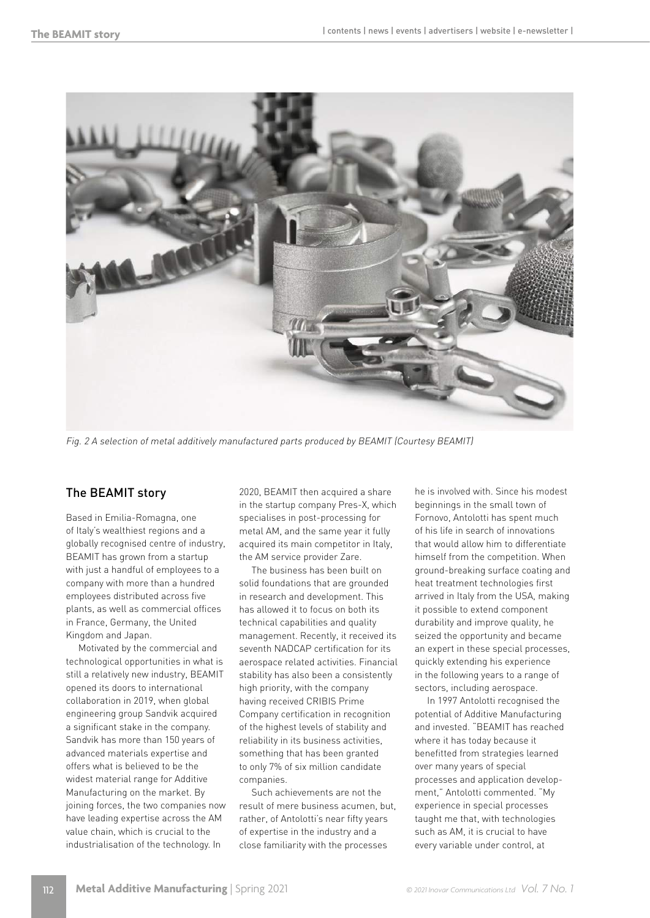

Fig. 2 A selection of metal additively manufactured parts produced by BEAMIT (Courtesy BEAMIT)

# The BEAMIT story

Based in Emilia-Romagna, one of Italy's wealthiest regions and a globally recognised centre of industry, BEAMIT has grown from a startup with just a handful of employees to a company with more than a hundred employees distributed across five plants, as well as commercial offices in France, Germany, the United Kingdom and Japan.

Motivated by the commercial and technological opportunities in what is still a relatively new industry, BEAMIT opened its doors to international collaboration in 2019, when global engineering group Sandvik acquired a significant stake in the company. Sandvik has more than 150 years of advanced materials expertise and offers what is believed to be the widest material range for Additive Manufacturing on the market. By joining forces, the two companies now have leading expertise across the AM value chain, which is crucial to the industrialisation of the technology. In

2020, BEAMIT then acquired a share in the startup company Pres-X, which specialises in post-processing for metal AM, and the same year it fully acquired its main competitor in Italy, the AM service provider Zare.

The business has been built on solid foundations that are grounded in research and development. This has allowed it to focus on both its technical capabilities and quality management. Recently, it received its seventh NADCAP certification for its aerospace related activities. Financial stability has also been a consistently high priority, with the company having received CRIBIS Prime Company certification in recognition of the highest levels of stability and reliability in its business activities, something that has been granted to only 7% of six million candidate companies.

Such achievements are not the result of mere business acumen, but, rather, of Antolotti's near fifty years of expertise in the industry and a close familiarity with the processes

he is involved with. Since his modest beginnings in the small town of Fornovo, Antolotti has spent much of his life in search of innovations that would allow him to differentiate himself from the competition. When ground-breaking surface coating and heat treatment technologies first arrived in Italy from the USA, making it possible to extend component durability and improve quality, he seized the opportunity and became an expert in these special processes, quickly extending his experience in the following years to a range of sectors, including aerospace.

In 1997 Antolotti recognised the potential of Additive Manufacturing and invested. "BEAMIT has reached where it has today because it benefitted from strategies learned over many years of special processes and application development," Antolotti commented. "My experience in special processes taught me that, with technologies such as AM, it is crucial to have every variable under control, at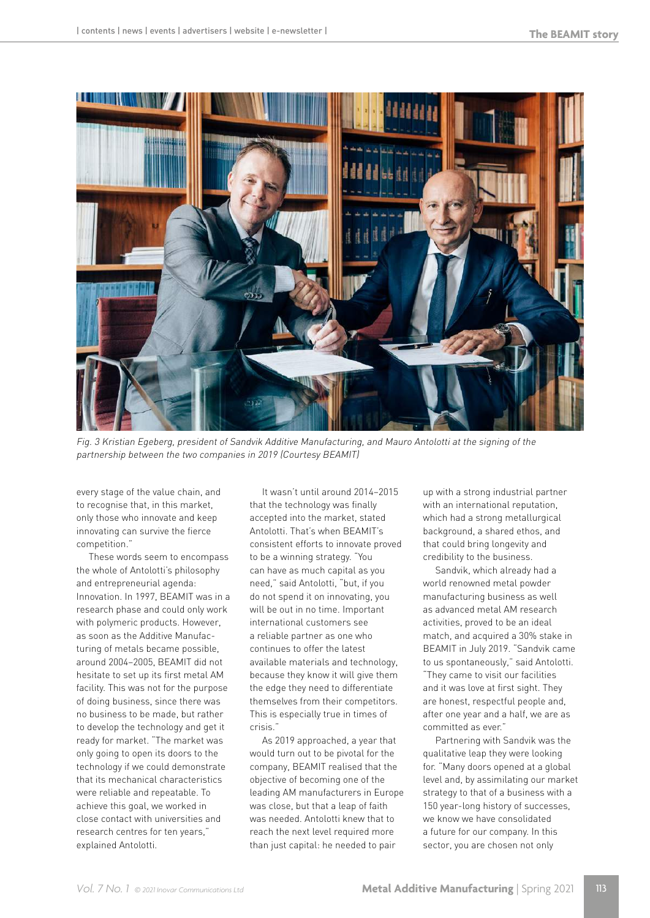

Fig. 3 Kristian Egeberg, president of Sandvik Additive Manufacturing, and Mauro Antolotti at the signing of the partnership between the two companies in 2019 (Courtesy BEAMIT)

every stage of the value chain, and to recognise that, in this market, only those who innovate and keep innovating can survive the fierce competition."

These words seem to encompass the whole of Antolotti's philosophy and entrepreneurial agenda: Innovation. In 1997, BEAMIT was in a research phase and could only work with polymeric products. However, as soon as the Additive Manufacturing of metals became possible, around 2004–2005, BEAMIT did not hesitate to set up its first metal AM facility. This was not for the purpose of doing business, since there was no business to be made, but rather to develop the technology and get it ready for market. "The market was only going to open its doors to the technology if we could demonstrate that its mechanical characteristics were reliable and repeatable. To achieve this goal, we worked in close contact with universities and research centres for ten years," explained Antolotti.

It wasn't until around 2014–2015 that the technology was finally accepted into the market, stated Antolotti. That's when BEAMIT's consistent efforts to innovate proved to be a winning strategy. "You can have as much capital as you need," said Antolotti, "but, if you do not spend it on innovating, you will be out in no time. Important international customers see a reliable partner as one who continues to offer the latest available materials and technology, because they know it will give them the edge they need to differentiate themselves from their competitors. This is especially true in times of crisis."

As 2019 approached, a year that would turn out to be pivotal for the company, BEAMIT realised that the objective of becoming one of the leading AM manufacturers in Europe was close, but that a leap of faith was needed. Antolotti knew that to reach the next level required more than just capital: he needed to pair

up with a strong industrial partner with an international reputation, which had a strong metallurgical background, a shared ethos, and that could bring longevity and credibility to the business.

Sandvik, which already had a world renowned metal powder manufacturing business as well as advanced metal AM research activities, proved to be an ideal match, and acquired a 30% stake in BEAMIT in July 2019. "Sandvik came to us spontaneously," said Antolotti. "They came to visit our facilities and it was love at first sight. They are honest, respectful people and, after one year and a half, we are as committed as ever."

Partnering with Sandvik was the qualitative leap they were looking for. "Many doors opened at a global level and, by assimilating our market strategy to that of a business with a 150 year-long history of successes, we know we have consolidated a future for our company. In this sector, you are chosen not only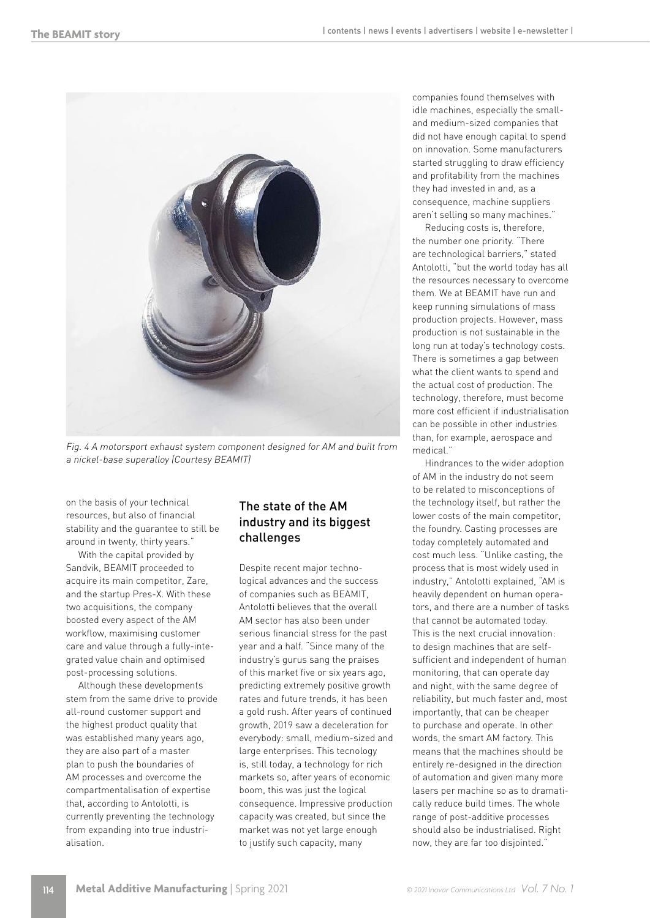

Fig. 4 A motorsport exhaust system component designed for AM and built from a nickel-base superalloy (Courtesy BEAMIT)

on the basis of your technical resources, but also of financial stability and the guarantee to still be around in twenty, thirty years."

With the capital provided by Sandvik, BEAMIT proceeded to acquire its main competitor, Zare, and the startup Pres-X. With these two acquisitions, the company boosted every aspect of the AM workflow, maximising customer care and value through a fully-integrated value chain and optimised post-processing solutions.

Although these developments stem from the same drive to provide all-round customer support and the highest product quality that was established many years ago, they are also part of a master plan to push the boundaries of AM processes and overcome the compartmentalisation of expertise that, according to Antolotti, is currently preventing the technology from expanding into true industrialisation.

## The state of the AM industry and its biggest challenges

Despite recent major technological advances and the success of companies such as BEAMIT, Antolotti believes that the overall AM sector has also been under serious financial stress for the past year and a half. "Since many of the industry's gurus sang the praises of this market five or six years ago, predicting extremely positive growth rates and future trends, it has been a gold rush. After years of continued growth, 2019 saw a deceleration for everybody: small, medium-sized and large enterprises. This tecnology is, still today, a technology for rich markets so, after years of economic boom, this was just the logical consequence. Impressive production capacity was created, but since the market was not yet large enough to justify such capacity, many

companies found themselves with idle machines, especially the smalland medium-sized companies that did not have enough capital to spend on innovation. Some manufacturers started struggling to draw efficiency and profitability from the machines they had invested in and, as a consequence, machine suppliers aren't selling so many machines."

Reducing costs is, therefore, the number one priority. "There are technological barriers," stated Antolotti, "but the world today has all the resources necessary to overcome them. We at BEAMIT have run and keep running simulations of mass production projects. However, mass production is not sustainable in the long run at today's technology costs. There is sometimes a gap between what the client wants to spend and the actual cost of production. The technology, therefore, must become more cost efficient if industrialisation can be possible in other industries than, for example, aerospace and medical."

Hindrances to the wider adoption of AM in the industry do not seem to be related to misconceptions of the technology itself, but rather the lower costs of the main competitor, the foundry. Casting processes are today completely automated and cost much less. "Unlike casting, the process that is most widely used in industry," Antolotti explained, "AM is heavily dependent on human operators, and there are a number of tasks that cannot be automated today. This is the next crucial innovation: to design machines that are selfsufficient and independent of human monitoring, that can operate day and night, with the same degree of reliability, but much faster and, most importantly, that can be cheaper to purchase and operate. In other words, the smart AM factory. This means that the machines should be entirely re-designed in the direction of automation and given many more lasers per machine so as to dramatically reduce build times. The whole range of post-additive processes should also be industrialised. Right now, they are far too disjointed."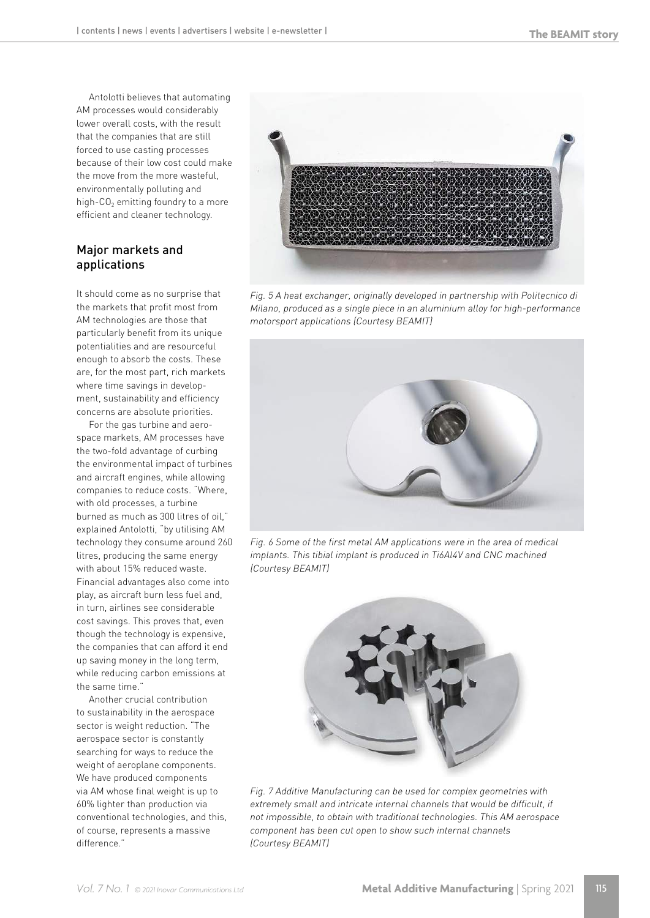Antolotti believes that automating AM processes would considerably lower overall costs, with the result that the companies that are still forced to use casting processes because of their low cost could make the move from the more wasteful, environmentally polluting and high- $CO<sub>2</sub>$  emitting foundry to a more efficient and cleaner technology.

### Major markets and applications

It should come as no surprise that the markets that profit most from AM technologies are those that particularly benefit from its unique potentialities and are resourceful enough to absorb the costs. These are, for the most part, rich markets where time savings in development, sustainability and efficiency concerns are absolute priorities.

For the gas turbine and aerospace markets, AM processes have the two-fold advantage of curbing the environmental impact of turbines and aircraft engines, while allowing companies to reduce costs. "Where, with old processes, a turbine burned as much as 300 litres of oil," explained Antolotti, "by utilising AM technology they consume around 260 litres, producing the same energy with about 15% reduced waste. Financial advantages also come into play, as aircraft burn less fuel and, in turn, airlines see considerable cost savings. This proves that, even though the technology is expensive, the companies that can afford it end up saving money in the long term, while reducing carbon emissions at the same time."

Another crucial contribution to sustainability in the aerospace sector is weight reduction. "The aerospace sector is constantly searching for ways to reduce the weight of aeroplane components. We have produced components via AM whose final weight is up to 60% lighter than production via conventional technologies, and this, of course, represents a massive difference."



Fig. 5 A heat exchanger, originally developed in partnership with Politecnico di Milano, produced as a single piece in an aluminium alloy for high-performance motorsport applications (Courtesy BEAMIT)



Fig. 6 Some of the first metal AM applications were in the area of medical implants. This tibial implant is produced in Ti6Al4V and CNC machined (Courtesy BEAMIT)



Fig. 7 Additive Manufacturing can be used for complex geometries with extremely small and intricate internal channels that would be difficult, if not impossible, to obtain with traditional technologies. This AM aerospace component has been cut open to show such internal channels (Courtesy BEAMIT)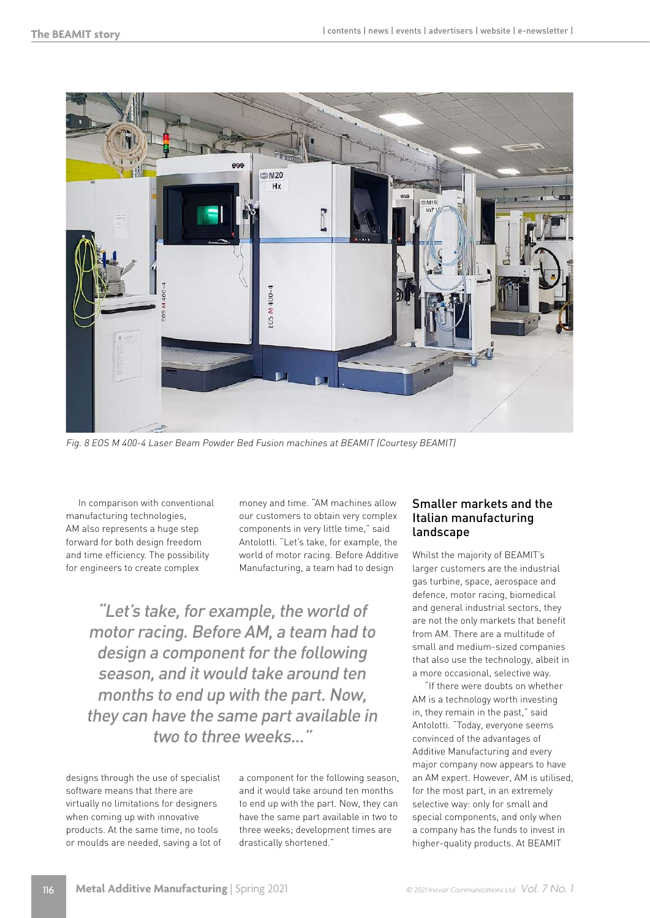

Fig. 8 EOS M 400-4 Laser Beam Powder Bed Fusion machines at BEAMIT (Courtesy BEAMIT)

In comparison with conventional manufacturing technologies, AM also represents a huge step forward for both design freedom and time efficiency. The possibility for engineers to create complex

money and time. "AM machines allow our customers to obtain very complex components in very little time," said Antolotti. "Let's take, for example, the world of motor racing. Before Additive Manufacturing, a team had to design

"Let's take, for example, the world of motor racing. Before AM, a team had to design a component for the following season, and it would take around ten months to end up with the part. Now, they can have the same part available in two to three weeks."

designs through the use of specialist software means that there are virtually no limitations for designers when coming up with innovative products. At the same time, no tools or moulds are needed, saving a lot of a component for the following season, and it would take around ten months to end up with the part. Now, they can have the same part available in two to three weeks; development times are drastically shortened."

### Smaller markets and the Italian manufacturing landscape

Whilst the majority of BEAMIT's larger customers are the industrial gas turbine, space, aerospace and defence, motor racing, biomedical and general industrial sectors, they are not the only markets that benefit from AM. There are a multitude of small and medium-sized companies that also use the technology, albeit in a more occasional, selective way.

"If there were doubts on whether AM is a technology worth investing in, they remain in the past," said Antolotti. "Today, everyone seems convinced of the advantages of Additive Manufacturing and every major company now appears to have an AM expert. However, AM is utilised, for the most part, in an extremely selective way: only for small and special components, and only when a company has the funds to invest in higher-quality products. At BEAMIT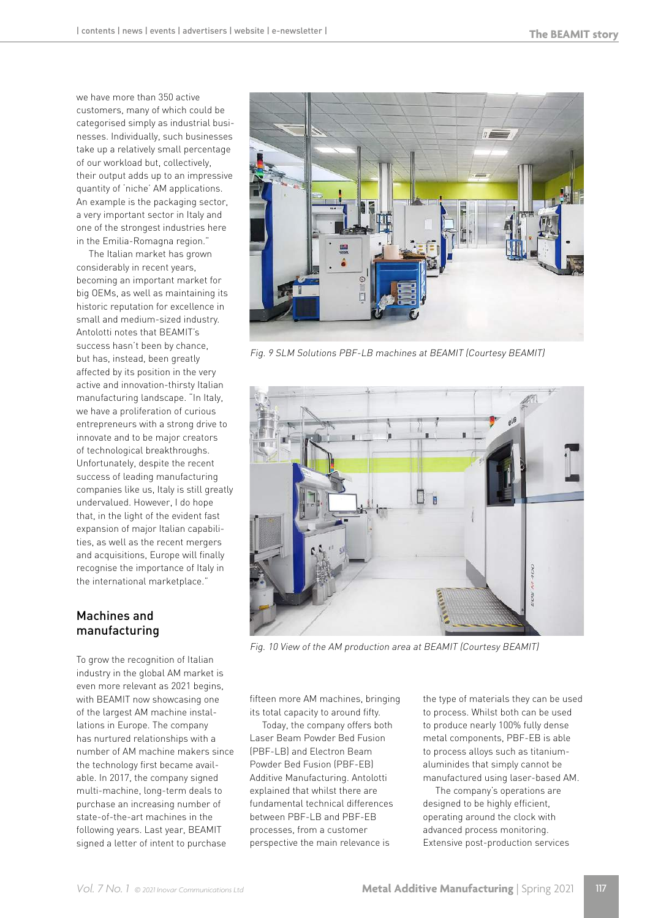we have more than 350 active customers, many of which could be categorised simply as industrial businesses. Individually, such businesses take up a relatively small percentage of our workload but, collectively, their output adds up to an impressive quantity of 'niche' AM applications. An example is the packaging sector, a very important sector in Italy and one of the strongest industries here in the Emilia-Romagna region."

The Italian market has grown considerably in recent years, becoming an important market for big OEMs, as well as maintaining its historic reputation for excellence in small and medium-sized industry. Antolotti notes that BEAMIT's success hasn't been by chance, but has, instead, been greatly affected by its position in the very active and innovation-thirsty Italian manufacturing landscape. "In Italy, we have a proliferation of curious entrepreneurs with a strong drive to innovate and to be major creators of technological breakthroughs. Unfortunately, despite the recent success of leading manufacturing companies like us, Italy is still greatly undervalued. However, I do hope that, in the light of the evident fast expansion of major Italian capabilities, as well as the recent mergers and acquisitions, Europe will finally recognise the importance of Italy in the international marketplace."

## Machines and manufacturing

To grow the recognition of Italian industry in the global AM market is even more relevant as 2021 begins, with BEAMIT now showcasing one of the largest AM machine installations in Europe. The company has nurtured relationships with a number of AM machine makers since the technology first became available. In 2017, the company signed multi-machine, long-term deals to purchase an increasing number of state-of-the-art machines in the following years. Last year, BEAMIT signed a letter of intent to purchase



Fig. 9 SLM Solutions PBF-LB machines at BEAMIT (Courtesy BEAMIT)



Fig. 10 View of the AM production area at BEAMIT (Courtesy BEAMIT)

fifteen more AM machines, bringing its total capacity to around fifty.

Today, the company offers both Laser Beam Powder Bed Fusion (PBF-LB) and Electron Beam Powder Bed Fusion (PBF-EB) Additive Manufacturing. Antolotti explained that whilst there are fundamental technical differences between PBF-LB and PBF-EB processes, from a customer perspective the main relevance is

the type of materials they can be used to process. Whilst both can be used to produce nearly 100% fully dense metal components, PBF-EB is able to process alloys such as titaniumaluminides that simply cannot be manufactured using laser-based AM.

The company's operations are designed to be highly efficient, operating around the clock with advanced process monitoring. Extensive post-production services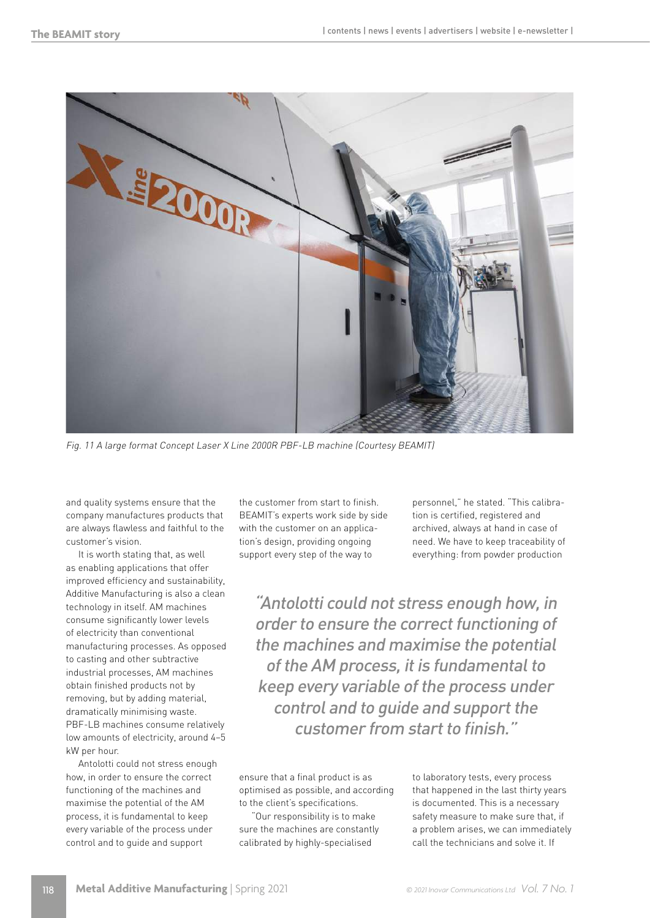

Fig. 11 A large format Concept Laser X Line 2000R PBF-LB machine (Courtesy BEAMIT)

and quality systems ensure that the company manufactures products that are always flawless and faithful to the customer's vision.

It is worth stating that, as well as enabling applications that offer improved efficiency and sustainability, Additive Manufacturing is also a clean technology in itself. AM machines consume significantly lower levels of electricity than conventional manufacturing processes. As opposed to casting and other subtractive industrial processes, AM machines obtain finished products not by removing, but by adding material, dramatically minimising waste. PBF-LB machines consume relatively low amounts of electricity, around 4–5 kW per hour.

Antolotti could not stress enough how, in order to ensure the correct functioning of the machines and maximise the potential of the AM process, it is fundamental to keep every variable of the process under control and to guide and support

the customer from start to finish. BEAMIT's experts work side by side with the customer on an application's design, providing ongoing support every step of the way to

personnel," he stated. "This calibration is certified, registered and archived, always at hand in case of need. We have to keep traceability of everything: from powder production

"Antolotti could not stress enough how, in order to ensure the correct functioning of the machines and maximise the potential of the AM process, it is fundamental to keep every variable of the process under control and to guide and support the customer from start to finish."

ensure that a final product is as optimised as possible, and according to the client's specifications.

"Our responsibility is to make sure the machines are constantly calibrated by highly-specialised

to laboratory tests, every process that happened in the last thirty years is documented. This is a necessary safety measure to make sure that, if a problem arises, we can immediately call the technicians and solve it. If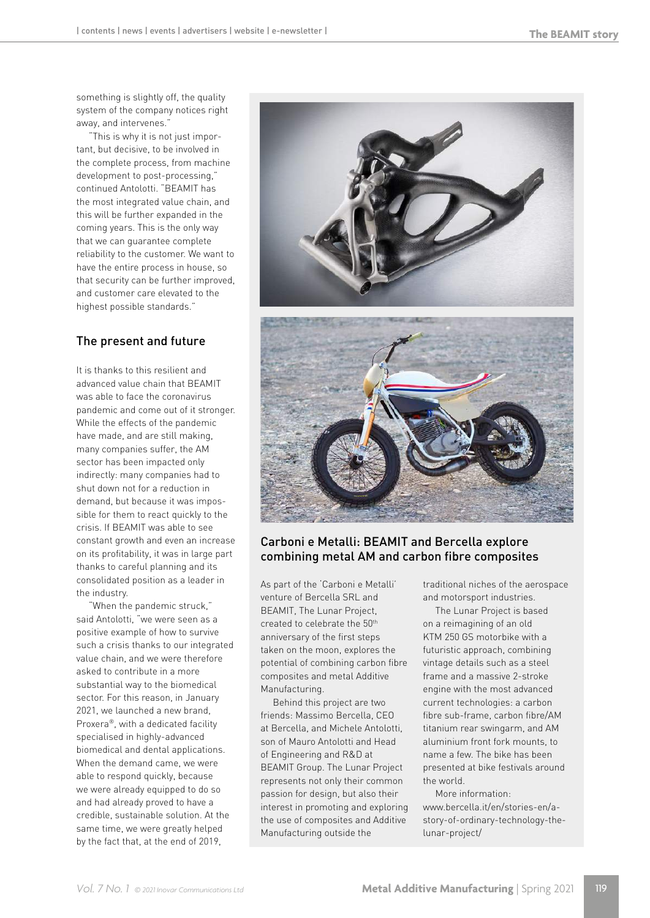something is slightly off, the quality system of the company notices right away, and intervenes."

"This is why it is not just important, but decisive, to be involved in the complete process, from machine development to post-processing," continued Antolotti. "BEAMIT has the most integrated value chain, and this will be further expanded in the coming years. This is the only way that we can guarantee complete reliability to the customer. We want to have the entire process in house, so that security can be further improved, and customer care elevated to the highest possible standards."

# The present and future

It is thanks to this resilient and advanced value chain that BEAMIT was able to face the coronavirus pandemic and come out of it stronger. While the effects of the pandemic have made, and are still making, many companies suffer, the AM sector has been impacted only indirectly: many companies had to shut down not for a reduction in demand, but because it was impossible for them to react quickly to the crisis. If BEAMIT was able to see constant growth and even an increase on its profitability, it was in large part thanks to careful planning and its consolidated position as a leader in the industry.

"When the pandemic struck," said Antolotti, "we were seen as a positive example of how to survive such a crisis thanks to our integrated value chain, and we were therefore asked to contribute in a more substantial way to the biomedical sector. For this reason, in January 2021, we launched a new brand, Proxera®, with a dedicated facility specialised in highly-advanced biomedical and dental applications. When the demand came, we were able to respond quickly, because we were already equipped to do so and had already proved to have a credible, sustainable solution. At the same time, we were greatly helped by the fact that, at the end of 2019,



#### Carboni e Metalli: BEAMIT and Bercella explore combining metal AM and carbon fibre composites

As part of the 'Carboni e Metalli' venture of Bercella SRL and BEAMIT, The Lunar Project, created to celebrate the 50th anniversary of the first steps taken on the moon, explores the potential of combining carbon fibre composites and metal Additive Manufacturing.

Behind this project are two friends: Massimo Bercella, CEO at Bercella, and Michele Antolotti, son of Mauro Antolotti and Head of Engineering and R&D at BEAMIT Group. The Lunar Project represents not only their common passion for design, but also their interest in promoting and exploring the use of composites and Additive Manufacturing outside the

traditional niches of the aerospace and motorsport industries.

The Lunar Project is based on a reimagining of an old KTM 250 GS motorbike with a futuristic approach, combining vintage details such as a steel frame and a massive 2-stroke engine with the most advanced current technologies: a carbon fibre sub-frame, carbon fibre/AM titanium rear swingarm, and AM aluminium front fork mounts, to name a few. The bike has been presented at bike festivals around the world.

More information: www.bercella.it/en/stories-en/astory-of-ordinary-technology-thelunar-project/